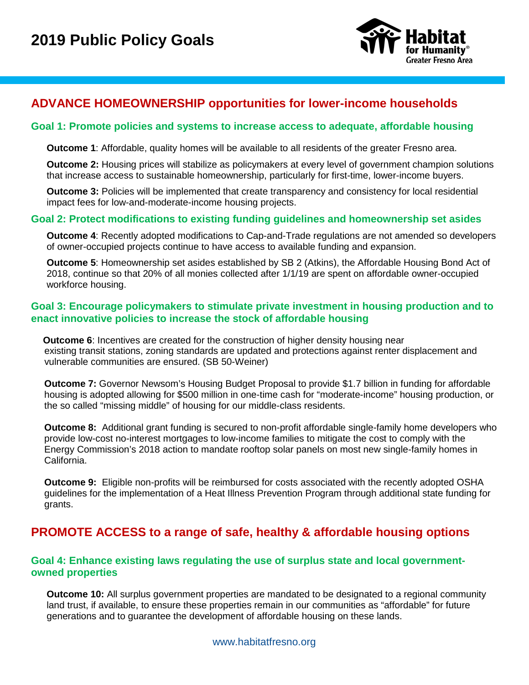

## **ADVANCE HOMEOWNERSHIP opportunities for lower-income households**

### **Goal 1: Promote policies and systems to increase access to adequate, affordable housing**

**Outcome 1**: Affordable, quality homes will be available to all residents of the greater Fresno area.

**Outcome 2:** Housing prices will stabilize as policymakers at every level of government champion solutions that increase access to sustainable homeownership, particularly for first-time, lower-income buyers.

**Outcome 3:** Policies will be implemented that create transparency and consistency for local residential impact fees for low-and-moderate-income housing projects.

### **Goal 2: Protect modifications to existing funding guidelines and homeownership set asides**

**Outcome 4**: Recently adopted modifications to Cap-and-Trade regulations are not amended so developers of owner-occupied projects continue to have access to available funding and expansion.

**Outcome 5**: Homeownership set asides established by SB 2 (Atkins), the Affordable Housing Bond Act of 2018, continue so that 20% of all monies collected after 1/1/19 are spent on affordable owner-occupied workforce housing.

### **Goal 3: Encourage policymakers to stimulate private investment in housing production and to enact innovative policies to increase the stock of affordable housing**

**Outcome 6:** Incentives are created for the construction of higher density housing near existing transit stations, zoning standards are updated and protections against renter displacement and vulnerable communities are ensured. (SB 50-Weiner)

 **Outcome 7:** Governor Newsom's Housing Budget Proposal to provide \$1.7 billion in funding for affordable housing is adopted allowing for \$500 million in one-time cash for "moderate-income" housing production, or the so called "missing middle" of housing for our middle-class residents.

 **Outcome 8:** Additional grant funding is secured to non-profit affordable single-family home developers who provide low-cost no-interest mortgages to low-income families to mitigate the cost to comply with the Energy Commission's 2018 action to mandate rooftop solar panels on most new single-family homes in California.

 **Outcome 9:** Eligible non-profits will be reimbursed for costs associated with the recently adopted OSHA guidelines for the implementation of a Heat Illness Prevention Program through additional state funding for grants.

# **PROMOTE ACCESS to a range of safe, healthy & affordable housing options**

### **Goal 4: Enhance existing laws regulating the use of surplus state and local governmentowned properties**

**Outcome 10:** All surplus government properties are mandated to be designated to a regional community land trust, if available, to ensure these properties remain in our communities as "affordable" for future generations and to guarantee the development of affordable housing on these lands.